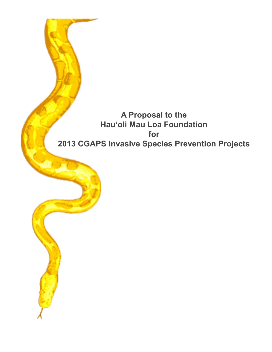# **A Proposal to the Hauʻoli Mau Loa Foundation for 2013 CGAPS Invasive Species Prevention Projects**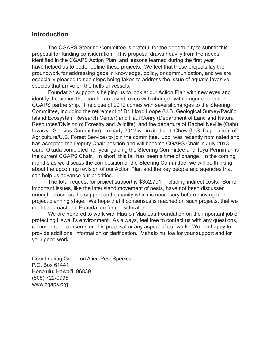# **Introduction**

 The CGAPS Steering Committee is grateful for the opportunity to submit this proposal for funding consideration. This proposal draws heavily from the needs identified in the CGAPS Action Plan, and lessons learned during the first year have helped us to better define these projects. We feel that these projects lay the groundwork for addressing gaps in knowledge, policy, or communication, and we are especially pleased to see steps being taken to address the issue of aquatic invasive species that arrive on the hulls of vessels.

 Foundation support is helping us to look at our Action Plan with new eyes and identify the pieces that can be achieved, even with changes within agencies and the CGAPS partnership. The close of 2012 comes with several changes to the Steering Committee, including the retirement of Dr. Lloyd Loope (U.S. Geological Survey/Pacific Island Ecosystem Research Center) and Paul Conry (Department of Land and Natural Resources/Division of Forestry and Wildlife), and the departure of Rachel Neville (Oahu Invasive Species Committee). In early 2012 we invited Jodi Chew (U.S. Department of Agriculture/U.S. Forest Service) to join the committee. Jodi was recently nominated and has accepted the Deputy Chair position and will become CGAPS Chair in July 2013. Carol Okada completed her year guiding the Steering Committee and Teya Penniman is the current CGAPS Chair. In short, this fall has been a time of change. In the coming months as we discuss the composition of the Steering Committee, we will be thinking about the upcoming revision of our Action Plan and the key people and agencies that can help us advance our priorities.

 The total request for project support is \$352,791, including indirect costs. Some important issues, like the interisland movement of pests, have not been discussed enough to assess the support and capacity which is necessary before moving to the project planning stage. We hope that if consensus is reached on such projects, that we might approach the Foundation for consideration.

 We are honored to work with Hau`oli Mau Loa Foundation on the important job of protecting Hawaiʻi's environment. As always, feel free to contact us with any questions, comments, or concerns on this proposal or any aspect of our work. We are happy to provide additional information or clarification. Mahalo nui loa for your support and for your good work.

Coordinating Group on Alien Pest Species P.O. Box 61441 Honolulu, Hawai'i 96839 (808) 722-0995 www.cgaps.org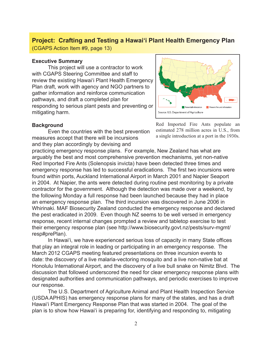# **Project: Crafting and Testing a Hawaiʻi Plant Health Emergency Plan**

(CGAPS Action Item #9, page 13)

### **Executive Summary**

 This project will use a contractor to work with CGAPS Steering Committee and staff to review the existing Hawaiʻi Plant Health Emergency Plan draft, work with agency and NGO partners to gather information and reinforce communication pathways, and draft a completed plan for responding to serious plant pests and preventing or mitigating harm.



### **Background**

 Even the countries with the best prevention measures accept that there will be incursions and they plan accordingly by devising and

Red Imported Fire Ants populate an estimated 278 million acres in U.S., from a single introduction at a port in the 1930s.

practicing emergency response plans. For example, New Zealand has what are arguably the best and most comprehensive prevention mechanisms, yet non-native Red Imported Fire Ants (Solenopsis invicta) have been detected three times and emergency response has led to successful eradications. The first two incursions were found within ports, Auckland International Airport in March 2001 and Napier Seaport in 2004. At Napier, the ants were detected during routine pest monitoring by a private contractor for the government. Although the detection was made over a weekend, by the following Monday a full response had been launched because they had in place an emergency response plan. The third incursion was discovered in June 2006 in Whirinaki. MAF Biosecurity Zealand conducted the emergency response and declared the pest eradicated in 2009. Even though NZ seems to be well versed in emergency response, recent internal changes prompted a review and tabletop exercise to test their emergency response plan (see http://www.biosecurity.govt.nz/pests/surv-mgmt/ resp#prePlan).

 In Hawaiʻi, we have experienced serious loss of capacity in many State offices that play an integral role in leading or participating in an emergency response. The March 2012 CGAPS meeting featured presentations on three incursion events to date: the discovery of a live malaria-vectoring mosquito and a live non-native bat at Honolulu International Airport, and the discovery of a live bull snake on Nimitz Blvd. The discussion that followed underscored the need for clear emergency response plans with designated authorities and communication pathways, and periodic exercises to improve our response.

 The U.S. Department of Agriculture Animal and Plant Health Inspection Service (USDA APHIS) has emergency response plans for many of the states, and has a draft Hawaiʻi Plant Emergency Response Plan that was started in 2004. The goal of the plan is to show how Hawai'i is preparing for, identifying and responding to, mitigating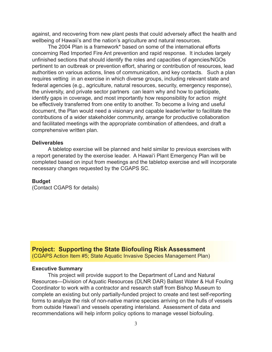against, and recovering from new plant pests that could adversely affect the health and wellbeing of Hawaii's and the nation's agriculture and natural resources.

 The 2004 Plan is a framework\* based on some of the international efforts concerning Red Imported Fire Ant prevention and rapid response. It includes largely unfinished sections that should identify the roles and capacities of agencies/NGOs pertinent to an outbreak or prevention effort, sharing or contribution of resources, lead authorities on various actions, lines of communication, and key contacts. Such a plan requires vetting in an exercise in which diverse groups, including relevant state and federal agencies (e.g., agriculture, natural resources, security, emergency response), the university, and private sector partners can learn why and how to participate, identify gaps in coverage, and most importantly how responsibility for action might be effectively transferred from one entity to another. To become a living and useful document, the Plan would need a visionary and capable leader/writer to facilitate the contributions of a wider stakeholder community, arrange for productive collaboration and facilitated meetings with the appropriate combination of attendees, and draft a comprehensive written plan.

### **Deliverables**

 A tabletop exercise will be planned and held similar to previous exercises with a report generated by the exercise leader. A Hawaiʻi Plant Emergency Plan will be completed based on input from meetings and the tabletop exercise and will incorporate necessary changes requested by the CGAPS SC.

### **Budget**

(Contact CGAPS for details)

**Project: Supporting the State Biofouling Risk Assessment**  (CGAPS Action Item #5; State Aquatic Invasive Species Management Plan)

### **Executive Summary**

 This project will provide support to the Department of Land and Natural Resources—Division of Aquatic Resources (DLNR DAR) Ballast Water & Hull Fouling Coordinator to work with a contractor and research staff from Bishop Museum to complete an existing but only partially-funded project to create and test self-reporting forms to analyze the risk of non-native marine species arriving on the hulls of vessels from outside Hawaiʻi and vessels operating interisland. Assessment of data and recommendations will help inform policy options to manage vessel biofouling.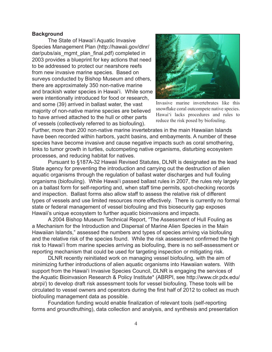### **Background**

 The State of Hawaiʻi Aquatic Invasive Species Management Plan (http://hawaii.gov/dlnr/ dar/pubs/ais\_mgmt\_plan\_final.pdf) completed in 2003 provides a blueprint for key actions that need to be addressed to protect our nearshore reefs from new invasive marine species. Based on surveys conducted by Bishop Museum and others, there are approximately 350 non-native marine and brackish water species in Hawaiʻi. While some were intentionally introduced for food or research, and some (39) arrived in ballast water, the vast majority of non-native marine species are believed to have arrived attached to the hull or other parts of vessels (collectively referred to as biofouling).



Invasive marine invertebrates like this snowflake coral outcompete native species. Hawaiʻi lacks procedures and rules to reduce the risk posed by biofouling.

Further, more than 200 non-native marine invertebrates in the main Hawaiian Islands have been recorded within harbors, yacht basins, and embayments. A number of these species have become invasive and cause negative impacts such as coral smothering, links to tumor growth in turtles, outcompeting native organisms, disturbing ecosystem processes, and reducing habitat for natives.

 Pursuant to §187A-32 Hawaii Revised Statutes, DLNR is designated as the lead State agency for preventing the introduction and carrying out the destruction of alien aquatic organisms through the regulation of ballast water discharges and hull fouling organisms (biofouling). While Hawaiʻi passed ballast rules in 2007, the rules rely largely on a ballast form for self-reporting and, when staff time permits, spot-checking records and inspection. Ballast forms also allow staff to assess the relative risk of different types of vessels and use limited resources more effectively. There is currently no formal state or federal management of vessel biofouling and this biosecurity gap exposes Hawaii's unique ecosystem to further aquatic bioinvasions and impacts.

 A 2004 Bishop Museum Technical Report, "The Assessment of Hull Fouling as a Mechanism for the Introduction and Dispersal of Marine Alien Species in the Main Hawaiian Islands," assessed the numbers and types of species arriving via biofouling and the relative risk of the species found. While the risk assessment confirmed the high risk to Hawaiʻi from marine species arriving as biofouling, there is no self-assessment or reporting mechanism that could be used for targeting inspection or mitigating risk.

 DLNR recently reinitiated work on managing vessel biofouling, with the aim of minimizing further introductions of alien aquatic organisms into Hawaiian waters. With support from the Hawaiʻi Invasive Species Council, DLNR is engaging the services of the Aquatic Bioinvasion Research & Policy Institute\* (ABRPI, see http://www.clr.pdx.edu/ abrpi/) to develop draft risk assessment tools for vessel biofouling. These tools will be circulated to vessel owners and operators during the first half of 2012 to collect as much biofouling management data as possible.

 Foundation funding would enable finalization of relevant tools (self-reporting forms and groundtruthing), data collection and analysis, and synthesis and presentation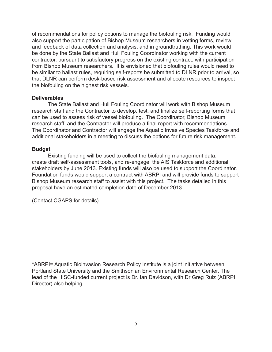of recommendations for policy options to manage the biofouling risk. Funding would also support the participation of Bishop Museum researchers in vetting forms, review and feedback of data collection and analysis, and in groundtruthing. This work would be done by the State Ballast and Hull Fouling Coordinator working with the current contractor, pursuant to satisfactory progress on the existing contract, with participation from Bishop Museum researchers. It is envisioned that biofouling rules would need to be similar to ballast rules, requiring self-reports be submitted to DLNR prior to arrival, so that DLNR can perform desk-based risk assessment and allocate resources to inspect the biofouling on the highest risk vessels.

### **Deliverables**

 The State Ballast and Hull Fouling Coordinator will work with Bishop Museum research staff and the Contractor to develop, test, and finalize self-reporting forms that can be used to assess risk of vessel biofouling. The Coordinator, Bishop Museum research staff, and the Contractor will produce a final report with recommendations. The Coordinator and Contractor will engage the Aquatic Invasive Species Taskforce and additional stakeholders in a meeting to discuss the options for future risk management.

### **Budget**

 Existing funding will be used to collect the biofouling management data, create draft self-assessment tools, and re-engage the AIS Taskforce and additional stakeholders by June 2013. Existing funds will also be used to support the Coordinator. Foundation funds would support a contract with ABRPI and will provide funds to support Bishop Museum research staff to assist with this project. The tasks detailed in this proposal have an estimated completion date of December 2013.

(Contact CGAPS for details)

\*ABRPI= Aquatic Bioinvasion Research Policy Institute is a joint initiative between Portland State University and the Smithsonian Environmental Research Center. The lead of the HISC-funded current project is Dr. Ian Davidson, with Dr Greg Ruiz (ABRPI Director) also helping.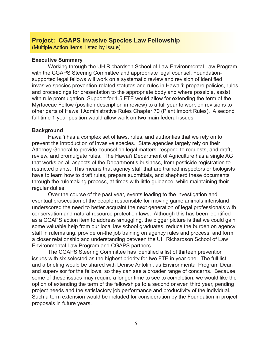## **Project: CGAPS Invasive Species Law Fellowship**

(Multiple Action items, listed by issue)

#### **Executive Summary**

 Working through the UH Richardson School of Law Environmental Law Program, with the CGAPS Steering Committee and appropriate legal counsel, Foundationsupported legal fellows will work on a systematic review and revision of identified invasive species prevention-related statutes and rules in Hawaiʻi; prepare policies, rules, and proceedings for presentation to the appropriate body and where possible, assist with rule promulgation. Support for 1.5 FTE would allow for extending the term of the Myrtaceae Fellow (position description in review) to a full year to work on revisions to other parts of Hawai'i Administrative Rules Chapter 70 (Plant Import Rules). A second full-time 1-year position would allow work on two main federal issues.

#### **Background**

 Hawaiʻi has a complex set of laws, rules, and authorities that we rely on to prevent the introduction of invasive species. State agencies largely rely on their Attorney General to provide counsel on legal matters, respond to requests, and draft, review, and promulgate rules. The Hawaiʻi Department of Agriculture has a single AG that works on all aspects of the Department's business, from pesticide registration to restricted plants. This means that agency staff that are trained inspectors or biologists have to learn how to draft rules, prepare submittals, and shepherd these documents through the rulemaking process, at times with little guidance, while maintaining their regular duties.

 Over the course of the past year, events leading to the investigation and eventual prosecution of the people responsible for moving game animals interisland underscored the need to better acquaint the next generation of legal professionals with conservation and natural resource protection laws. Although this has been identified as a CGAPS action item to address smuggling, the bigger picture is that we could gain some valuable help from our local law school graduates, reduce the burden on agency staff in rulemaking, provide on-the job training on agency rules and process, and form a closer relationship and understanding between the UH Richardson School of Law Environmental Law Program and CGAPS partners.

 The CGAPS Steering Committee has identified a list of thirteen prevention issues with six selected as the highest priority for two FTE in year one. The full list and a briefing would be shared with Denise Antolini, as Environmental Program Dean and supervisor for the fellows, so they can see a broader range of concerns. Because some of these issues may require a longer time to see to completion, we would like the option of extending the term of the fellowships to a second or even third year, pending project needs and the satisfactory job performance and productivity of the individual. Such a term extension would be included for consideration by the Foundation in project proposals in future years.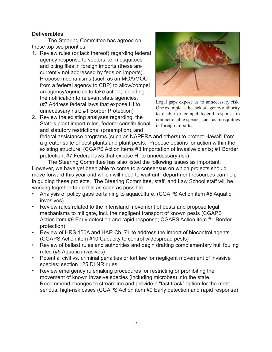## **Deliverables**

 The Steering Committee has agreed on these top two priorities:

- 1. Review rules (or lack thereof) regarding federal agency response to vectors i.e. mosquitoes and biting flies in foreign imports (these are currently not addressed by feds on imports). Propose mechanisms (such as an MOA/MOU from a federal agency to CBP) to allow/compel an agency/agencies to take action, including the notification to relevant state agencies. (#7 Address federal laws that expose HI to unnecessary risk; #1 Border Protection)
- 2. Review the existing analyses regarding the State's plant import rules, federal constitutional and statutory restrictions (preemption), and



Legal gaps expose us to unnecessary risk. One example is the lack of agency authority to enable or compel federal response to non-actionable species such as mosquitoes in foreign imports.

federal assistance programs (such as NAPPRA and others) to protect Hawaiʻi from a greater suite of pest plants and plant pests. Propose options for action within the existing structure. (CGAPS Action items #3 Importation of invasive plants; #1 Border protection, #7 Federal laws that expose HI to unnecessary risk)

 The Steering Committee has also listed the following issues as important. However, we have yet been able to come to a consensus on which projects should move forward this year and which will need to wait until department resources can help in guiding these projects. The Steering Committee, staff, and Law School staff will be working together to do this as soon as possible.

- Analysis of policy gaps pertaining to aquaculture. (CGAPS Action item #5 Aquatic invasives)
- Review rules related to the interisland movement of pests and propose legal mechanisms to mitigate, incl. the negligent transport of known pests (CGAPS Action item #9 Early detection and rapid response; CGAPS Action item #1 Border protection)
- Review of HRS 150A and HAR Ch. 71 to address the import of biocontrol agents. (CGAPS Action item #10 Capacity to control widespread pests)
- Review of ballast rules and authorities and begin drafting complementary hull fouling rules (#5 Aquatic invasives)
- Potential civil vs. criminal penalties or tort law for negligent movement of invasive species; section 125 DLNR rules
- Review emergency rulemaking procedures for restricting or prohibiting the movement of known invasive species (including microbes) into the state. Recommend changes to streamline and provide a "fast track" option for the most serious, high-risk cases (CGAPS Action item #9 Early detection and rapid response)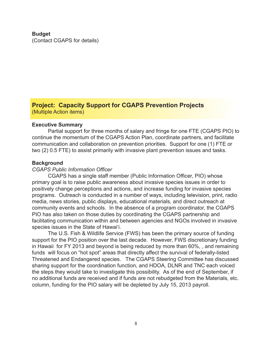# **Budget**

(Contact CGAPS for details)

# **Project: Capacity Support for CGAPS Prevention Projects** (Multiple Action items)

### **Executive Summary**

 Partial support for three months of salary and fringe for one FTE (CGAPS PIO) to continue the momentum of the CGAPS Action Plan, coordinate partners, and facilitate communication and collaboration on prevention priorities. Support for one (1) FTE or two (2) 0.5 FTE) to assist primarily with invasive plant prevention issues and tasks. 

### **Background**

### *CGAPS Public Information Officer*

 CGAPS has a single staff member (Public Information Officer, PIO) whose primary goal is to raise public awareness about invasive species issues in order to positively change perceptions and actions, and increase funding for invasive species programs. Outreach is conducted in a number of ways, including television, print, radio media, news stories, public displays, educational materials, and direct outreach at community events and schools. In the absence of a program coordinator, the CGAPS PIO has also taken on those duties by coordinating the CGAPS partnership and facilitating communication within and between agencies and NGOs involved in invasive species issues in the State of Hawai'i.

 The U.S. Fish & Wildlife Service (FWS) has been the primary source of funding support for the PIO position over the last decade. However, FWS discretionary funding in Hawaii for FY 2013 and beyond is being reduced by more than 60%, , and remaining funds will focus on "hot spot" areas that directly affect the survival of federally-listed Threatened and Endangered species. The CGAPS Steering Committee has discussed sharing support for the coordination function, and HDOA, DLNR and TNC each voiced the steps they would take to investigate this possibility. As of the end of September, if no additional funds are received and if funds are not rebudgeted from the Materials, etc. column, funding for the PIO salary will be depleted by July 15, 2013 payroll.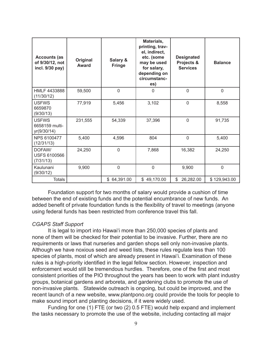| <b>Accounts (as</b><br>of 9/30/12, not<br>incl. 9/30 pay) | Original<br>Award | Salary &<br><b>Fringe</b> | Materials,<br>printing, trav-<br>el, indirect,<br>etc. (some<br>may be used<br>for salary,<br>depending on<br>circumstanc-<br>es) | <b>Designated</b><br>Projects &<br><b>Services</b> | <b>Balance</b> |
|-----------------------------------------------------------|-------------------|---------------------------|-----------------------------------------------------------------------------------------------------------------------------------|----------------------------------------------------|----------------|
| HMLF 4433888<br>(11/30/12)                                | 59,500            | $\mathbf 0$               | 0                                                                                                                                 | $\mathsf 0$                                        | $\mathbf 0$    |
| <b>USFWS</b><br>6659870<br>(9/30/13)                      | 77,919            | 5,456                     | 3,102                                                                                                                             | $\mathsf 0$                                        | 8,558          |
| <b>USFWS</b><br>6658159 multi-<br>yr(9/30/14)             | 231,555           | 54,339                    | 37,396                                                                                                                            | $\overline{0}$                                     | 91,735         |
| NPS 6100477<br>(12/31/13)                                 | 5,400             | 4,596                     | 804                                                                                                                               | $\overline{0}$                                     | 5,400          |
| DOFAW/<br><b>USFS 6100566</b><br>(7/31/13)                | 24,250            | $\mathbf 0$               | 7,868                                                                                                                             | 16,382                                             | 24,250         |
| Kaulunani<br>(9/30/12)                                    | 9,900             | $\mathbf 0$               | $\mathbf 0$                                                                                                                       | 9,900                                              | $\mathbf 0$    |
| <b>Totals</b>                                             |                   | \$64,391.00               | \$49,170.00                                                                                                                       | \$<br>26,282.00                                    | \$129,943.00   |

 Foundation support for two months of salary would provide a cushion of time between the end of existing funds and the potential encumbrance of new funds. An added benefit of private foundation funds is the flexibility of travel to meetings (anyone using federal funds has been restricted from conference travel this fall.

### *CGAPS Staff Support*

 It is legal to import into Hawai'i more than 250,000 species of plants and none of them will be checked for their potential to be invasive. Further, there are no requirements or laws that nurseries and garden shops sell only non-invasive plants. Although we have noxious seed and weed lists, these rules regulate less than 100 species of plants, most of which are already present in Hawai'i. Examination of these rules is a high-priority identified in the legal fellow section. However, inspection and enforcement would still be tremendous hurdles. Therefore, one of the first and most consistent priorities of the PIO throughout the years has been to work with plant industry groups, botanical gardens and arboreta, and gardening clubs to promote the use of non-invasive plants. Statewide outreach is ongoing, but could be improved, and the recent launch of a new website, www.plantpono.org could provide the tools for people to make sound import and planting decisions, if it were widely used.

 Funding for one (1) FTE (or two (2) 0.5 FTE) would help expand and implement the tasks necessary to promote the use of the website, including contacting all major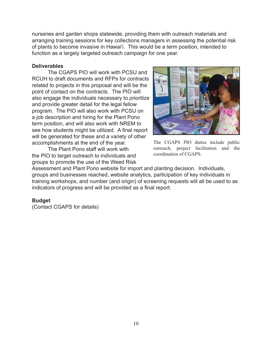nurseries and garden shops statewide, providing them with outreach materials and arranging training sessions for key collections managers in assessing the potential risk of plants to become invasive in Hawaiʻi. This would be a term position, intended to function as a largely targeted outreach campaign for one year.

### **Deliverables**

 The CGAPS PIO will work with PCSU and RCUH to draft documents and RFPs for contracts related to projects in this proposal and will be the point of contact on the contracts. The PIO will also engage the individuals necessary to prioritize and provide greater detail for the legal fellow program. The PIO will also work with PCSU on a job description and hiring for the Plant Pono term position, and will also work with NREM to see how students might be utilized. A final report will be generated for these and a variety of other accomplishments at the end of the year.

 The Plant Pono staff will work with the PIO to target outreach to individuals and groups to promote the use of the Weed Risk



The CGAPS PIO duties include public outreach, project facilitation and the coordination of CGAPS.

Assessment and Plant Pono website for import and planting decision. Individuals, groups and businesses reached, website analytics, participation of key individuals in training workshops, and number (and origin) of screening requests will all be used to as indicators of progress and will be provided as a final report.

## **Budget**

(Contact CGAPS for details)